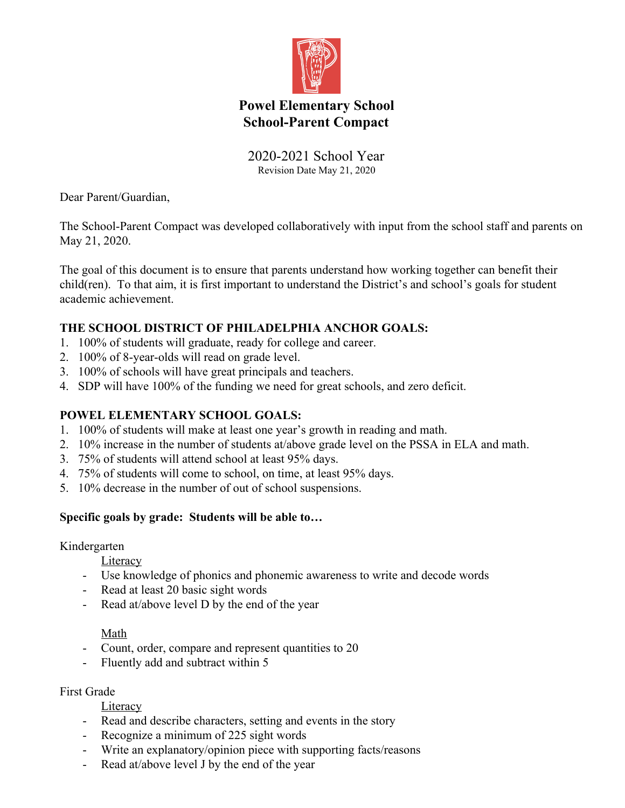

# **Powel Elementary School School-Parent Compact**

#### 2020-2021 School Year Revision Date May 21, 2020

Dear Parent/Guardian,

The School-Parent Compact was developed collaboratively with input from the school staff and parents on May 21, 2020.

The goal of this document is to ensure that parents understand how working together can benefit their child(ren). To that aim, it is first important to understand the District's and school's goals for student academic achievement.

### **THE SCHOOL DISTRICT OF PHILADELPHIA ANCHOR GOALS:**

- 1. 100% of students will graduate, ready for college and career.
- 2. 100% of 8-year-olds will read on grade level.
- 3. 100% of schools will have great principals and teachers.
- 4. SDP will have 100% of the funding we need for great schools, and zero deficit.

#### **POWEL ELEMENTARY SCHOOL GOALS:**

- 1. 100% of students will make at least one year's growth in reading and math.
- 2. 10% increase in the number of students at/above grade level on the PSSA in ELA and math.
- 3. 75% of students will attend school at least 95% days.
- 4. 75% of students will come to school, on time, at least 95% days.
- 5. 10% decrease in the number of out of school suspensions.

#### **Specific goals by grade: Students will be able to…**

Kindergarten

**Literacy** 

- Use knowledge of phonics and phonemic awareness to write and decode words
- Read at least 20 basic sight words
- Read at/above level D by the end of the year

#### Math

- Count, order, compare and represent quantities to 20
- Fluently add and subtract within 5

#### First Grade

#### Literacy

- Read and describe characters, setting and events in the story
- Recognize a minimum of 225 sight words
- Write an explanatory/opinion piece with supporting facts/reasons
- Read at/above level J by the end of the year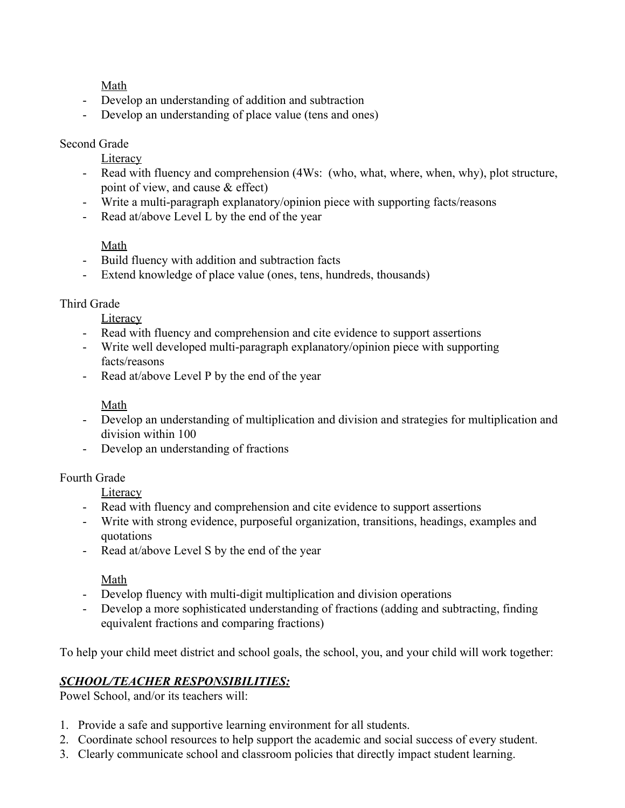Math

- Develop an understanding of addition and subtraction
- Develop an understanding of place value (tens and ones)

#### Second Grade

**Literacy** 

- Read with fluency and comprehension (4Ws: (who, what, where, when, why), plot structure, point of view, and cause & effect)
- Write a multi-paragraph explanatory/opinion piece with supporting facts/reasons
- Read at/above Level L by the end of the year

### Math

- Build fluency with addition and subtraction facts
- Extend knowledge of place value (ones, tens, hundreds, thousands)

### Third Grade

**Literacy** 

- Read with fluency and comprehension and cite evidence to support assertions
- Write well developed multi-paragraph explanatory/opinion piece with supporting facts/reasons
- Read at/above Level P by the end of the year

# Math

- Develop an understanding of multiplication and division and strategies for multiplication and division within 100
- Develop an understanding of fractions

# Fourth Grade

**Literacy** 

- Read with fluency and comprehension and cite evidence to support assertions
- Write with strong evidence, purposeful organization, transitions, headings, examples and quotations
- Read at/above Level S by the end of the year

#### Math

- Develop fluency with multi-digit multiplication and division operations
- Develop a more sophisticated understanding of fractions (adding and subtracting, finding equivalent fractions and comparing fractions)

To help your child meet district and school goals, the school, you, and your child will work together:

# *SCHOOL/TEACHER RESPONSIBILITIES:*

Powel School, and/or its teachers will:

- 1. Provide a safe and supportive learning environment for all students.
- 2. Coordinate school resources to help support the academic and social success of every student.
- 3. Clearly communicate school and classroom policies that directly impact student learning.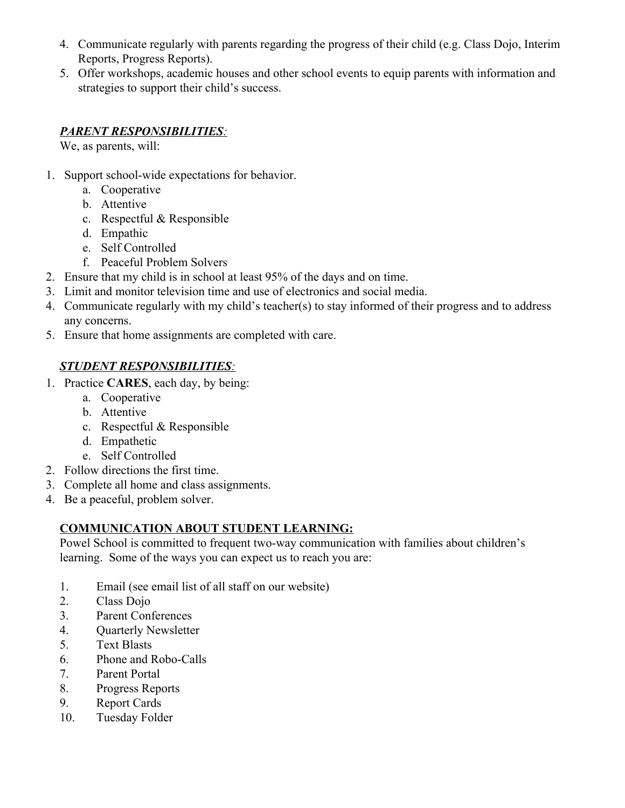- 4. Communicate regularly with parents regarding the progress of their child (e.g. Class Dojo, Interim Reports, Progress Reports).
- 5. Offer workshops, academic houses and other school events to equip parents with information and strategies to support their child's success.

# *PARENT RESPONSIBILITIES:*

We, as parents, will:

- 1. Support school-wide expectations for behavior.
	- a. Cooperative
	- b. Attentive
	- c. Respectful & Responsible
	- d. Empathic
	- e. Self Controlled
	- f. Peaceful Problem Solvers
- 2. Ensure that my child is in school at least 95% of the days and on time.
- 3. Limit and monitor television time and use of electronics and social media.
- 4. Communicate regularly with my child's teacher(s) to stay informed of their progress and to address any concerns.
- 5. Ensure that home assignments are completed with care.

### *STUDENT RESPONSIBILITIES:*

- 1. Practice **CARES**, each day, by being:
	- a. Cooperative
	- b. Attentive
	- c. Respectful & Responsible
	- d. Empathetic
	- e. Self Controlled
- 2. Follow directions the first time.
- 3. Complete all home and class assignments.
- 4. Be a peaceful, problem solver.

#### **COMMUNICATION ABOUT STUDENT LEARNING:**

Powel School is committed to frequent two-way communication with families about children's learning. Some of the ways you can expect us to reach you are:

- 1. Email (see email list of all staff on our website)
- 2. Class Dojo
- 3. Parent Conferences
- 4. Quarterly Newsletter
- 5. Text Blasts
- 6. Phone and Robo-Calls
- 7. Parent Portal
- 8. Progress Reports
- 9. Report Cards
- 10. Tuesday Folder